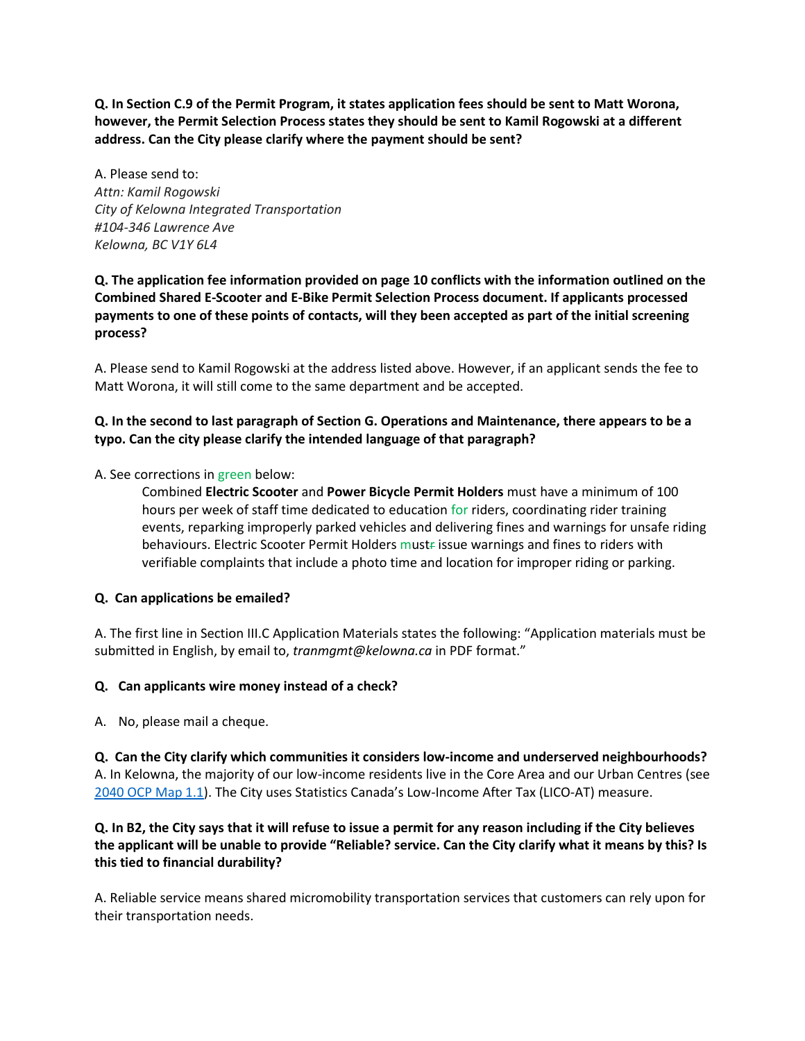**Q. In Section C.9 of the Permit Program, it states application fees should be sent to Matt Worona, however, the Permit Selection Process states they should be sent to Kamil Rogowski at a different address. Can the City please clarify where the payment should be sent?**

A. Please send to: *Attn: Kamil Rogowski City of Kelowna Integrated Transportation #104-346 Lawrence Ave Kelowna, BC V1Y 6L4*

**Q. The application fee information provided on page 10 conflicts with the information outlined on the Combined Shared E-Scooter and E-Bike Permit Selection Process document. If applicants processed payments to one of these points of contacts, will they been accepted as part of the initial screening process?**

A. Please send to Kamil Rogowski at the address listed above. However, if an applicant sends the fee to Matt Worona, it will still come to the same department and be accepted.

### **Q. In the second to last paragraph of Section G. Operations and Maintenance, there appears to be a typo. Can the city please clarify the intended language of that paragraph?**

A. See corrections in green below:

Combined **Electric Scooter** and **Power Bicycle Permit Holders** must have a minimum of 100 hours per week of staff time dedicated to education for riders, coordinating rider training events, reparking improperly parked vehicles and delivering fines and warnings for unsafe riding behaviours. Electric Scooter Permit Holders mustfissue warnings and fines to riders with verifiable complaints that include a photo time and location for improper riding or parking.

#### **Q. Can applications be emailed?**

A. The first line in Section III.C Application Materials states the following: "Application materials must be submitted in English, by email to, *tranmgmt@kelowna.ca* in PDF format."

#### **Q. Can applicants wire money instead of a check?**

A. No, please mail a cheque.

**Q. Can the City clarify which communities it considers low-income and underserved neighbourhoods?** A. In Kelowna, the majority of our low-income residents live in the Core Area and our Urban Centres (see [2040 OCP Map 1.1\)](https://www.kelowna.ca/sites/files/1/docs/final_ocp2040_map1_1_growthstrategy.pdf). The City uses Statistics Canada's Low-Income After Tax (LICO-AT) measure.

### **Q. In B2, the City says that it will refuse to issue a permit for any reason including if the City believes the applicant will be unable to provide "Reliable? service. Can the City clarify what it means by this? Is this tied to financial durability?**

A. Reliable service means shared micromobility transportation services that customers can rely upon for their transportation needs.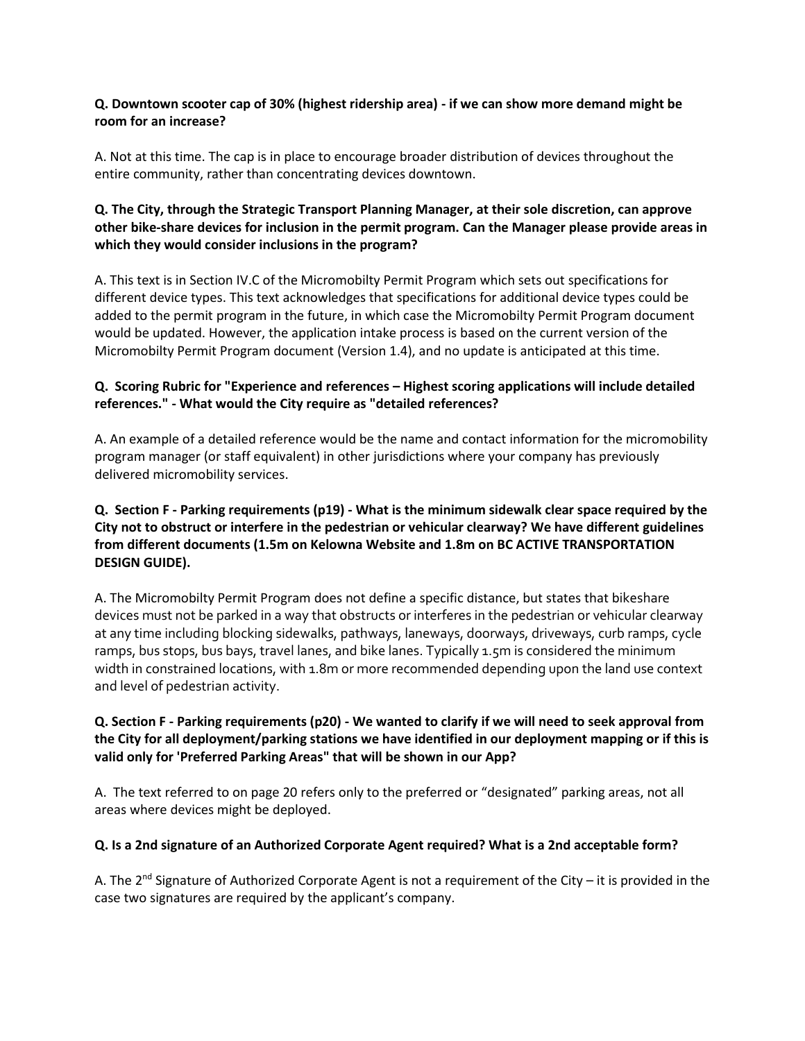#### **Q. Downtown scooter cap of 30% (highest ridership area) - if we can show more demand might be room for an increase?**

A. Not at this time. The cap is in place to encourage broader distribution of devices throughout the entire community, rather than concentrating devices downtown.

# **Q. The City, through the Strategic Transport Planning Manager, at their sole discretion, can approve other bike-share devices for inclusion in the permit program. Can the Manager please provide areas in which they would consider inclusions in the program?**

A. This text is in Section IV.C of the Micromobilty Permit Program which sets out specifications for different device types. This text acknowledges that specifications for additional device types could be added to the permit program in the future, in which case the Micromobilty Permit Program document would be updated. However, the application intake process is based on the current version of the Micromobilty Permit Program document (Version 1.4), and no update is anticipated at this time.

# **Q. Scoring Rubric for "Experience and references – Highest scoring applications will include detailed references." - What would the City require as "detailed references?**

A. An example of a detailed reference would be the name and contact information for the micromobility program manager (or staff equivalent) in other jurisdictions where your company has previously delivered micromobility services.

# **Q. Section F - Parking requirements (p19) - What is the minimum sidewalk clear space required by the City not to obstruct or interfere in the pedestrian or vehicular clearway? We have different guidelines from different documents (1.5m on Kelowna Website and 1.8m on BC ACTIVE TRANSPORTATION DESIGN GUIDE).**

A. The Micromobilty Permit Program does not define a specific distance, but states that bikeshare devices must not be parked in a way that obstructs or interferes in the pedestrian or vehicular clearway at any time including blocking sidewalks, pathways, laneways, doorways, driveways, curb ramps, cycle ramps, bus stops, bus bays, travel lanes, and bike lanes. Typically 1.5m is considered the minimum width in constrained locations, with 1.8m or more recommended depending upon the land use context and level of pedestrian activity.

# **Q. Section F - Parking requirements (p20) - We wanted to clarify if we will need to seek approval from the City for all deployment/parking stations we have identified in our deployment mapping or if this is valid only for 'Preferred Parking Areas" that will be shown in our App?**

A. The text referred to on page 20 refers only to the preferred or "designated" parking areas, not all areas where devices might be deployed.

# **Q. Is a 2nd signature of an Authorized Corporate Agent required? What is a 2nd acceptable form?**

A. The 2<sup>nd</sup> Signature of Authorized Corporate Agent is not a requirement of the City – it is provided in the case two signatures are required by the applicant's company.